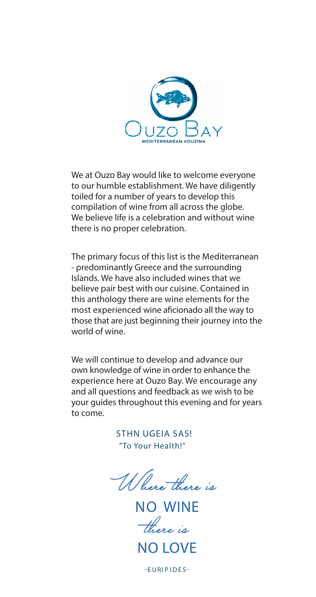

We at Ouzo Bay would like to welcome everyone to our humble establishment. We have diligently toiled for a number of years to develop this compilation of wine from all across the globe. We believe life is a celebration and without wine there is no proper celebration.

The primary focus of this list is the Mediterranean - predominantly Greece and the surrounding Islands. We have also included wines that we believe pair best with our cuisine. Contained in this anthology there are wine elements for the most experienced wine aficionado all the way to those that are just beginning their journey into the world of wine.

We will continue to develop and advance our own knowledge of wine in order to enhance the experience here at Ouzo Bay. We encourage any and all questions and feedback as we wish to be your guides throughout this evening and for years to come.

> STHN UGEIA SAS! "To Your Health!"

W here there is

NO WINE there *is*<br>NO LOVE

-EURI P IDES-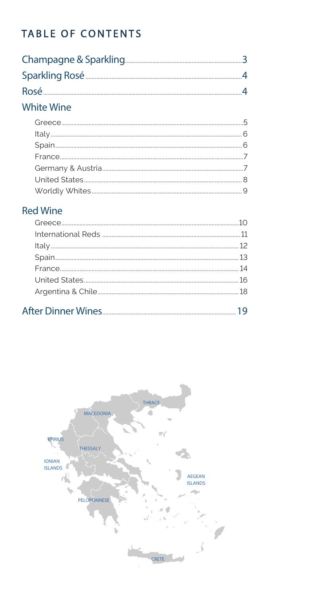# TABLE OF CONTENTS

### **White Wine**

### **Red Wine**

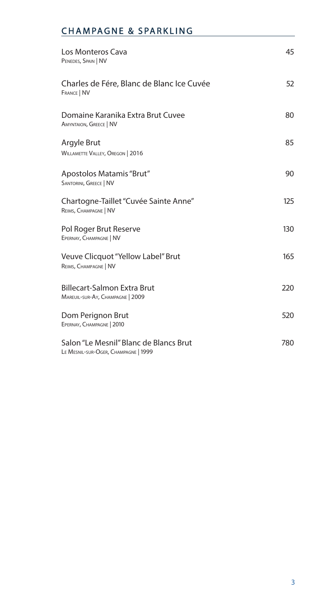### CHAMPAGNE & SPARKLING

| Los Monteros Cava<br>PENEDES, SPAIN   NV                                       | 45  |
|--------------------------------------------------------------------------------|-----|
| Charles de Fére, Blanc de Blanc Ice Cuvée<br><b>FRANCE   NV</b>                | 52  |
| Domaine Karanika Extra Brut Cuvee<br><b>AMYNTAION, GREECE   NV</b>             | 80  |
| Argyle Brut<br><b>WILLAMETTE VALLEY, OREGON   2016</b>                         | 85  |
| Apostolos Matamis "Brut"<br><b>SANTORINI, GREECE   NV</b>                      | 90  |
| Chartogne-Taillet "Cuvée Sainte Anne"<br>REIMS, CHAMPAGNE   NV                 | 125 |
| Pol Roger Brut Reserve<br>EPERNAY, CHAMPAGNE   NV                              | 130 |
| Veuve Clicquot "Yellow Label" Brut<br>REIMS, CHAMPAGNE   NV                    | 165 |
| <b>Billecart-Salmon Extra Brut</b><br>MAREUIL-SUR-AY, CHAMPAGNE   2009         | 220 |
| Dom Perignon Brut<br>EPERNAY, CHAMPAGNE   2010                                 | 520 |
| Salon "Le Mesnil" Blanc de Blancs Brut<br>LE MESNIL-SUR-OGER, CHAMPAGNE   1999 | 780 |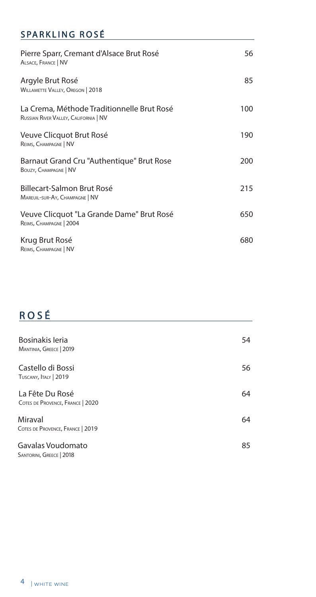### SPARKLING ROSÉ

| Pierre Sparr, Cremant d'Alsace Brut Rosé<br>ALSACE, FRANCE   NV                     | 56  |
|-------------------------------------------------------------------------------------|-----|
| Argyle Brut Rosé<br><b>WILLAMETTE VALLEY, OREGON   2018</b>                         | 85  |
| La Crema, Méthode Traditionnelle Brut Rosé<br>RUSSIAN RIVER VALLEY, CALIFORNIA   NV | 100 |
| Veuve Clicquot Brut Rosé<br>REIMS, CHAMPAGNE   NV                                   | 190 |
| Barnaut Grand Cru "Authentique" Brut Rose<br>BOUZY, CHAMPAGNE   NV                  | 200 |
| Billecart-Salmon Brut Rosé<br>MAREUIL-SUR-AY, CHAMPAGNE   NV                        | 215 |
| Veuve Clicquot "La Grande Dame" Brut Rosé<br>REIMS, CHAMPAGNE   2004                | 650 |
| Krug Brut Rosé<br>REIMS, CHAMPAGNE   NV                                             | 680 |

# ROSÉ

| Bosinakis leria<br>MANTINIA, GREECE   2019          | 54 |
|-----------------------------------------------------|----|
| Castello di Bossi<br>TUSCANY, ITALY   2019          | 56 |
| La Fête Du Rosé<br>COTES DE PROVENCE, FRANCE   2020 | 64 |
| Miraval<br>COTES DE PROVENCE, FRANCE   2019         | 64 |
| Gavalas Voudomato<br>SANTORINI, GREECE   2018       | 85 |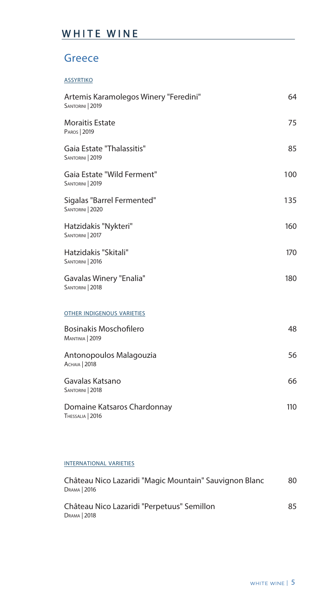## WHITE WINE

### **Greece**

#### assyrtiko

| Artemis Karamolegos Winery "Feredini"<br>SANTORINI   2019 | 64  |
|-----------------------------------------------------------|-----|
| <b>Moraitis Estate</b><br>PAROS   2019                    | 75  |
| Gaia Estate "Thalassitis"<br>SANTORINI   2019             | 85  |
| Gaia Estate "Wild Ferment"<br>SANTORINI   2019            | 100 |
| Sigalas "Barrel Fermented"<br>SANTORINI   2020            | 135 |
| Hatzidakis "Nykteri"<br>SANTORINI   2017                  | 160 |
| Hatzidakis "Skitali"<br>SANTORINI   2016                  | 170 |
| Gavalas Winery "Enalia"<br>SANTORINI   2018               | 180 |
| <b>OTHER INDIGENOUS VARIETIES</b>                         |     |
| <b>Bosinakis Moschofilero</b><br>MANTINIA   2019          | 48  |
| Antonopoulos Malagouzia<br>Аснаја   2018                  | 56  |
| Gavalas Katsano<br>SANTORINI   2018                       | 66  |
| Domaine Katsaros Chardonnay<br>THESSALIA   2016           | 110 |

### international varieties

| Château Nico Lazaridi "Magic Mountain" Sauvignon Blanc<br>DRAMA   2016 | 80 |
|------------------------------------------------------------------------|----|
| Château Nico Lazaridi "Perpetuus" Semillon<br>DRAMA   2018             | 85 |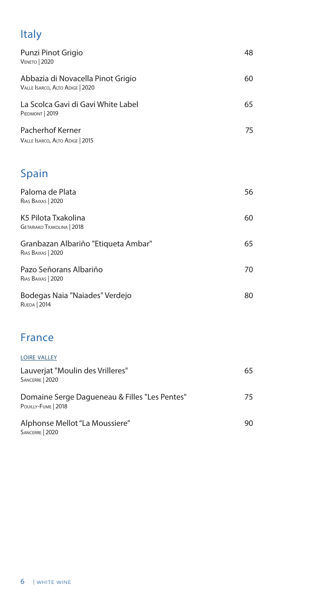# Italy

| Punzi Pinot Grigio<br><b>VENETO</b>   2020                           | 48 |
|----------------------------------------------------------------------|----|
| Abbazia di Novacella Pinot Grigio<br>VALLE ISARCO, ALTO ADIGE   2020 | 60 |
| La Scolca Gavi di Gavi White Label<br>PIEDMONT   2019                | 65 |
| Pacherhof Kerner<br>VALLE ISARCO, ALTO ADIGE   2015                  | 75 |
| <b>Spain</b>                                                         |    |
| Paloma de Plata<br>RIAS BAIXAS   2020                                | 56 |
| K5 Pilota Txakolina<br><b>GETARIAKO TXAKOLINA   2018</b>             | 60 |
| Granbazan Albariño "Etiqueta Ambar"<br>RIAS BAIXAS   2020            | 65 |
| Pazo Señorans Albariño<br>RIAS BAIXAS   2020                         | 70 |
| Bodegas Naia "Naiades" Verdejo<br><b>RUEDA</b>   2014                | 80 |

### France

| <b>LOIRE VALLEY</b>                                                  |     |
|----------------------------------------------------------------------|-----|
| Lauverjat "Moulin des Vrilleres"<br>SANCERRE   2020                  | 65  |
| Domaine Serge Dagueneau & Filles "Les Pentes"<br>POUILLY-FUME   2018 | 75. |
| Alphonse Mellot "La Moussiere"<br>SANCERRE   2020                    | 90  |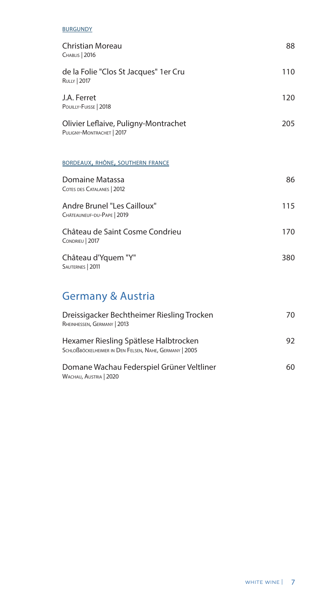#### **BURGUNDY**

| Christian Moreau<br>CHABLIS   2016                                        | 88  |
|---------------------------------------------------------------------------|-----|
| de la Folie "Clos St Jacques" 1 er Cru<br><b>RULLY   2017</b>             | 110 |
| J.A. Ferret<br>POUILLY-FUISSE   2018                                      | 120 |
| Olivier Leflaive, Puligny-Montrachet<br>PULIGNY-MONTRACHET   2017         | 205 |
| <b>BORDEAUX, RHÔNE, SOUTHERN FRANCE</b>                                   |     |
| Domaine Matassa<br>COTES DES CATALANES   2012                             | 86  |
| Andre Brunel "Les Cailloux"<br>CHÂTEAUNEUF-DU-PAPE   2019                 | 115 |
| Château de Saint Cosme Condrieu<br>CONDRIEU   2017                        | 170 |
| Château d'Yquem "Y"<br>SAUTERNES   2011                                   | 380 |
| <b>Germany &amp; Austria</b>                                              |     |
| Dreissigacker Bechtheimer Riesling Trocken<br>RHEINHESSEN, GERMANY   2013 | 70  |

| 92. |
|-----|
|     |
| 60  |
|     |

Wachau, Austria | 2020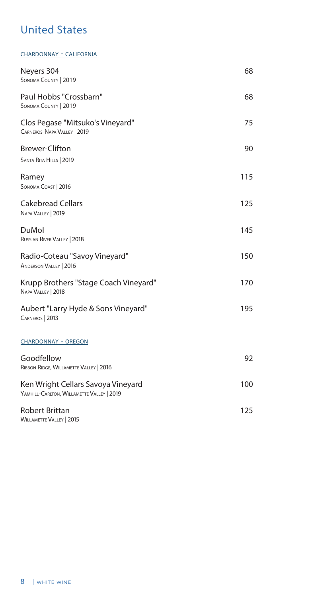## United States

chardonnay - california

| Neyers 304<br>SONOMA COUNTY   2019                                              | 68  |
|---------------------------------------------------------------------------------|-----|
| Paul Hobbs "Crossbarn"<br>SONOMA COUNTY   2019                                  | 68  |
| Clos Pegase "Mitsuko's Vineyard"<br>CARNEROS-NAPA VALLEY   2019                 | 75  |
| <b>Brewer-Clifton</b><br>SANTA RITA HILLS   2019                                | 90  |
| Ramey<br>SONOMA COAST   2016                                                    | 115 |
| <b>Cakebread Cellars</b><br>NAPA VALLEY   2019                                  | 125 |
| DuMol<br>RUSSIAN RIVER VALLEY   2018                                            | 145 |
| Radio-Coteau "Savoy Vineyard"<br><b>ANDERSON VALLEY   2016</b>                  | 150 |
| Krupp Brothers "Stage Coach Vineyard"<br>NAPA VALLEY   2018                     | 170 |
| Aubert "Larry Hyde & Sons Vineyard"<br>CARNEROS   2013                          | 195 |
| <b>CHARDONNAY - OREGON</b>                                                      |     |
| Goodfellow<br>RIBBON RIDGE, WILLAMETTE VALLEY   2016                            | 92  |
| Ken Wright Cellars Savoya Vineyard<br>YAMHILL-CARLTON, WILLAMETTE VALLEY   2019 | 100 |
| <b>Robert Brittan</b><br><b>WILLAMETTE VALLEY   2015</b>                        | 125 |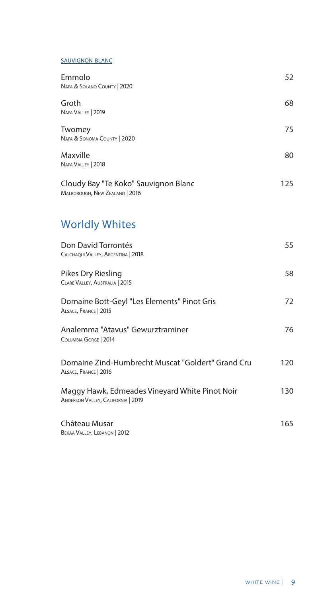#### sauvignon blanc

| Emmolo<br>NAPA & SOLANO COUNTY   2020                                  | 52  |
|------------------------------------------------------------------------|-----|
| Groth<br>NAPA VALLEY   2019                                            | 68  |
| Twomey<br>NAPA & SONOMA COUNTY   2020                                  | 75  |
| Maxville<br>NAPA VALLEY   2018                                         | 80  |
| Cloudy Bay "Te Koko" Sauvignon Blanc<br>MALBOROUGH, NEW ZEALAND   2016 | 125 |
| <b>Worldly Whites</b>                                                  |     |
| Don David Torrontés<br>CALCHAQUI VALLEY, ARGENTINA   2018              | 55  |

### Pikes Dry Riesling 58 Clare Valley, Australia | 2015 Domaine Bott-Geyl "Les Elements" Pinot Gris 72 Alsace, France | 2015

| Analemma "Atavus" Gewurztraminer | 76 |
|----------------------------------|----|
| COLUMBIA GORGE   2014            |    |
|                                  |    |

| Domaine Zind-Humbrecht Muscat "Goldert" Grand Cru | 120   |
|---------------------------------------------------|-------|
| ALSACE, FRANCE   2016                             |       |
| Maggy Hawk, Edmeades Vinevard White Pinot Noir    | 1 ว ก |

Maggy Hawk, Edmeades Vineyard White Pinot Noir 130 Anderson Valley, California | 2019

#### Château Musar **165** BEKAA VALLEY, LEBANON | 2012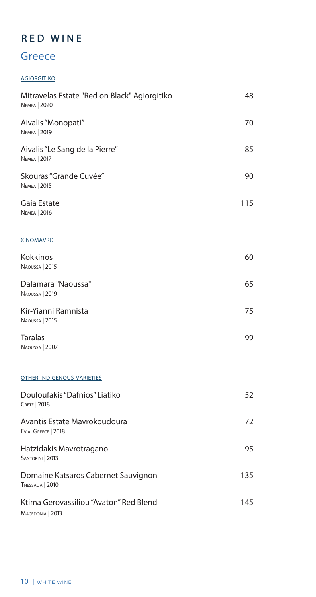## RED WINE

## **Greece**

### **AGIORGITIKO**

| Mitravelas Estate "Red on Black" Agiorgitiko<br><b>NEMEA</b>   2020 | 48  |
|---------------------------------------------------------------------|-----|
| Aivalis "Monopati"<br><b>NEMEA</b>   2019                           | 70  |
| Aivalis "Le Sang de la Pierre"<br><b>NEMEA</b>   2017               | 85  |
| Skouras "Grande Cuvée"<br><b>NEMEA</b>   2015                       | 90  |
| Gaia Estate<br><b>NEMEA</b>   2016                                  | 115 |
| <b>XINOMAVRO</b>                                                    |     |
| Kokkinos<br>NAOUSSA   2015                                          | 60  |
| Dalamara "Naoussa"<br>NAOUSSA   2019                                | 65  |
| Kir-Yianni Ramnista<br>NAOUSSA   2015                               | 75  |
| Taralas<br>NAOUSSA   2007                                           | 99  |
| <b>OTHER INDIGENOUS VARIETIES</b>                                   |     |
| Douloufakis "Dafnios" Liatiko<br><b>CRETE</b>   2018                | 52  |
| Avantis Estate Mavrokoudoura<br>EVIA, GREECE   2018                 | 72  |
| Hatzidakis Mavrotragano<br>SANTORINI   2013                         | 95  |
| Domaine Katsaros Cabernet Sauvignon<br>THESSALIA   2010             | 135 |
| Ktima Gerovassiliou "Avaton" Red Blend<br>MACEDONIA   2013          | 145 |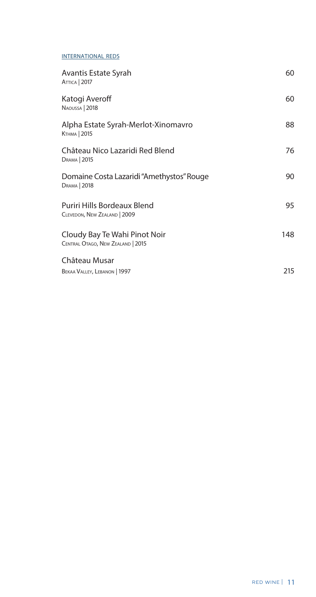#### INTERNATIONAL REDS

| Avantis Estate Syrah<br><b>ATTICA</b>   2017                       | 60  |
|--------------------------------------------------------------------|-----|
| Katogi Averoff<br>NAOUSSA   2018                                   | 60  |
| Alpha Estate Syrah-Merlot-Xinomavro<br>Ктнма   2015                | 88  |
| Château Nico Lazaridi Red Blend<br>DRAMA   2015                    | 76  |
| Domaine Costa Lazaridi "Amethystos" Rouge<br>DRAMA   2018          | 90  |
| Puriri Hills Bordeaux Blend<br>CLEVEDON, NEW ZEALAND   2009        | 95  |
| Cloudy Bay Te Wahi Pinot Noir<br>CENTRAL OTAGO, NEW ZEALAND   2015 | 148 |
| Château Musar                                                      |     |
| BEKAA VALLEY, LEBANON   1997                                       | 215 |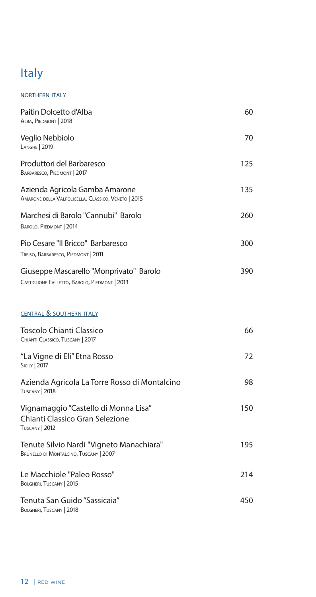# Italy

#### **NORTHERN ITALY**

| Paitin Dolcetto d'Alba<br>ALBA, PIEDMONT   2018                                           | 60  |
|-------------------------------------------------------------------------------------------|-----|
| Veglio Nebbiolo<br><b>LANGHE   2019</b>                                                   | 70  |
| Produttori del Barbaresco<br>BARBARESCO, PIEDMONT   2017                                  | 125 |
| Azienda Agricola Gamba Amarone<br>AMARONE DELLA VALPOLICELLA, CLASSICO, VENETO   2015     | 135 |
| Marchesi di Barolo "Cannubi" Barolo<br>BAROLO, PIEDMONT   2014                            | 260 |
| Pio Cesare "Il Bricco" Barbaresco<br>TREISO, BARBARESCO, PIEDMONT   2011                  | 300 |
| Giuseppe Mascarello "Monprivato" Barolo<br>CASTIGLIONE FALLETTO, BAROLO, PIEDMONT   2013  | 390 |
| <b>CENTRAL &amp; SOUTHERN ITALY</b>                                                       |     |
| Toscolo Chianti Classico<br>CHIANTI CLASSICO, TUSCANY   2017                              | 66  |
| "La Vigne di Eli" Etna Rosso<br><b>SICILY</b>   2017                                      | 72  |
| Azienda Agricola La Torre Rosso di Montalcino<br><b>TUSCANY   2018</b>                    | 98  |
| Vignamaggio "Castello di Monna Lisa"<br>Chianti Classico Gran Selezione<br>TUSCANY   2012 | 150 |
| Tenute Silvio Nardi "Vigneto Manachiara"<br>BRUNELLO DI MONTALCINO, TUSCANY   2007        | 195 |
| Le Macchiole "Paleo Rosso"<br>BOLGHERI, TUSCANY   2015                                    | 214 |
| Tenuta San Guido "Sassicaia"<br>BOLGHERI, TUSCANY   2018                                  | 450 |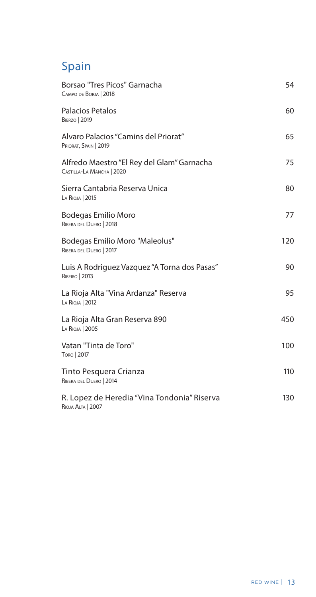## Spain

| Borsao "Tres Picos" Garnacha<br>CAMPO DE BORJA   2018                   | 54  |
|-------------------------------------------------------------------------|-----|
| <b>Palacios Petalos</b><br><b>BIERZO</b>   2019                         | 60  |
| Alvaro Palacios "Camins del Priorat"<br>PRIORAT, SPAIN   2019           | 65  |
| Alfredo Maestro "El Rey del Glam" Garnacha<br>CASTILLA-LA MANCHA   2020 | 75  |
| Sierra Cantabria Reserva Unica<br>LA RIOJA   2015                       | 80  |
| <b>Bodegas Emilio Moro</b><br>RIBERA DEL DUERO   2018                   | 77  |
| <b>Bodegas Emilio Moro "Maleolus"</b><br>RIBERA DEL DUERO   2017        | 120 |
| Luis A Rodriguez Vazquez "A Torna dos Pasas"<br><b>RIBEIRO</b>   2013   | 90  |
| La Rioja Alta "Vina Ardanza" Reserva<br>LA RIOJA   2012                 | 95  |
| La Rioja Alta Gran Reserva 890<br>LA RIOJA   2005                       | 450 |
| Vatan "Tinta de Toro"<br>Токо   2017                                    | 100 |
| Tinto Pesquera Crianza<br>RIBERA DEL DUERO   2014                       | 110 |
| R. Lopez de Heredia "Vina Tondonia" Riserva<br><b>RIOJA ALTA   2007</b> | 130 |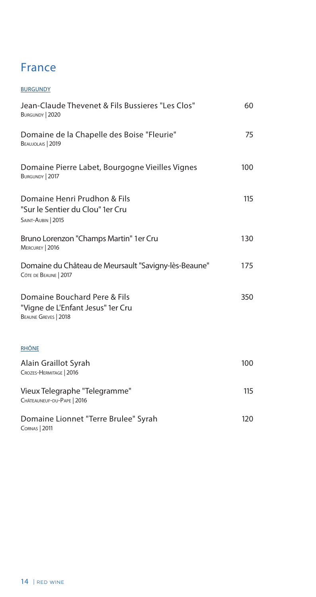## France

| <b>BURGUNDY</b>                                                                           |     |
|-------------------------------------------------------------------------------------------|-----|
| Jean-Claude Thevenet & Fils Bussieres "Les Clos"<br>BURGUNDY   2020                       | 60  |
| Domaine de la Chapelle des Boise "Fleurie"<br>BEAUJOLAIS   2019                           | 75  |
| Domaine Pierre Labet, Bourgogne Vieilles Vignes<br>BURGUNDY   2017                        | 100 |
| Domaine Henri Prudhon & Fils<br>"Sur le Sentier du Clou" 1er Cru<br>SAINT-AUBIN   2015    | 115 |
| Bruno Lorenzon "Champs Martin" 1er Cru<br>MERCUREY   2016                                 | 130 |
| Domaine du Château de Meursault "Savigny-lès-Beaune"<br>CÔTE DE BEAUNE   2017             | 175 |
| Domaine Bouchard Pere & Fils<br>"Vigne de L'Enfant Jesus" 1er Cru<br>BEAUNE GREVES   2018 | 350 |
| <b>RHÔNE</b>                                                                              |     |
| Alain Graillot Syrah<br>CROZES-HERMITAGE   2016                                           | 100 |
| Vieux Telegraphe "Telegramme"<br>CHÂTEAUNEUF-DU-PAPE   2016                               | 115 |
| Domaine Lionnet "Terre Brulee" Syrah<br><b>CORNAS   2011</b>                              | 120 |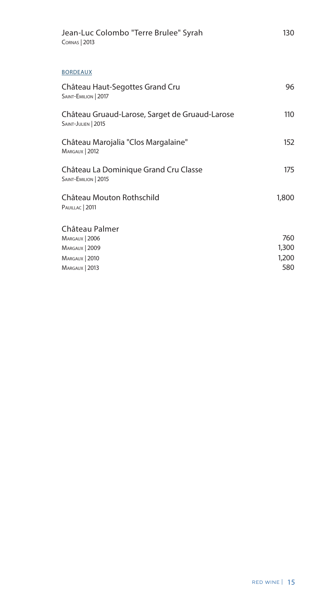| Jean-Luc Colombo "Terre Brulee" Syrah<br><b>CORNAS   2013</b>         | 130   |
|-----------------------------------------------------------------------|-------|
| <b>BORDEAUX</b>                                                       |       |
| Château Haut-Segottes Grand Cru<br>SAINT-EMILION   2017               | 96    |
| Château Gruaud-Larose, Sarget de Gruaud-Larose<br>SAINT-JULIEN   2015 | 110   |
| Château Marojalia "Clos Margalaine"<br>MARGAUX   2012                 | 152   |
| Château La Dominique Grand Cru Classe<br>SAINT-EMILION   2015         | 175   |
| Château Mouton Rothschild<br>PAUILLAC   2011                          | 1,800 |
| Château Palmer                                                        |       |
| MARGAUX   2006                                                        | 760   |
| MARGAUX   2009                                                        | 1,300 |
| MARGAUX   2010                                                        | 1,200 |
| MARGAUX   2013                                                        | 580   |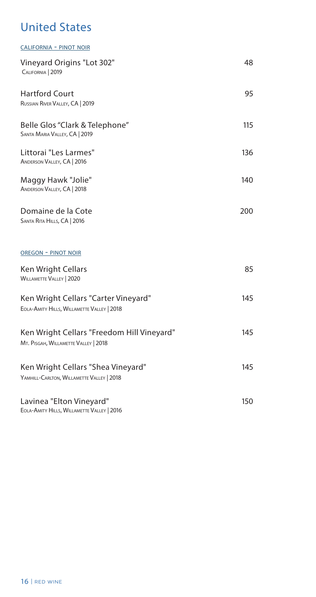## United States

| <b>CALIFORNIA - PINOT NOIR</b>                                                     |     |
|------------------------------------------------------------------------------------|-----|
| Vineyard Origins "Lot 302"<br>CALIFORNIA   2019                                    | 48  |
| <b>Hartford Court</b><br>RUSSIAN RIVER VALLEY, CA   2019                           | 95  |
| Belle Glos "Clark & Telephone"<br>SANTA MARIA VALLEY, CA   2019                    | 115 |
| Littorai "Les Larmes"<br>ANDERSON VALLEY, CA   2016                                | 136 |
| Maggy Hawk "Jolie"<br>ANDERSON VALLEY, CA   2018                                   | 140 |
| Domaine de la Cote<br>SANTA RITA HILLS, CA   2016                                  | 200 |
| <b>OREGON - PINOT NOIR</b>                                                         |     |
| Ken Wright Cellars<br><b>WILLAMETTE VALLEY   2020</b>                              | 85  |
| Ken Wright Cellars "Carter Vineyard"<br>EOLA-AMITY HILLS, WILLAMETTE VALLEY   2018 | 145 |
| Ken Wright Cellars "Freedom Hill Vineyard"<br>MT. PISGAH, WILLAMETTE VALLEY   2018 | 145 |
| Ken Wright Cellars "Shea Vineyard"<br>YAMHILL-CARLTON, WILLAMETTE VALLEY   2018    | 145 |
| Lavinea "Elton Vineyard"<br>EOLA-AMITY HILLS, WILLAMETTE VALLEY   2016             | 150 |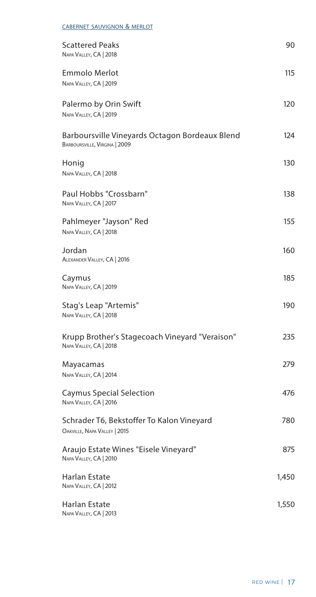| <b>CABERNET SAUVIGNON &amp; MERLOT</b>                                          |       |
|---------------------------------------------------------------------------------|-------|
| <b>Scattered Peaks</b><br>NAPA VALLEY, CA   2018                                | 90    |
| <b>Emmolo Merlot</b><br>NAPA VALLEY, CA   2019                                  | 115   |
| Palermo by Orin Swift<br>NAPA VALLEY, CA   2019                                 | 120   |
| Barboursville Vineyards Octagon Bordeaux Blend<br>BARBOURSVILLE, VIRGINA   2009 | 124   |
| Honig<br>NAPA VALLEY, CA   2018                                                 | 130   |
| Paul Hobbs "Crossbarn"<br>NAPA VALLEY, CA   2017                                | 138   |
| Pahlmeyer "Jayson" Red<br>NAPA VALLEY, CA   2018                                | 155   |
| Jordan<br>ALEXANDER VALLEY, CA   2016                                           | 160   |
| Caymus<br>NAPA VALLEY, CA   2019                                                | 185   |
| Stag's Leap "Artemis"<br>NAPA VALLEY, CA   2018                                 | 190   |
| Krupp Brother's Stagecoach Vineyard "Veraison"<br>NAPA VALLEY, CA   2018        | 235   |
| Mayacamas<br>NAPA VALLEY, CA   2014                                             | 279   |
| <b>Caymus Special Selection</b><br>NAPA VALLEY, CA   2016                       | 476   |
| Schrader T6, Bekstoffer To Kalon Vineyard<br>OAKVILLE, NAPA VALLEY   2015       | 780   |
| Araujo Estate Wines "Eisele Vineyard"<br>NAPA VALLEY, CA   2010                 | 875   |
| Harlan Estate<br>NAPA VALLEY, CA   2012                                         | 1,450 |
| Harlan Estate<br>NAPA VALLEY, CA   2013                                         | 1,550 |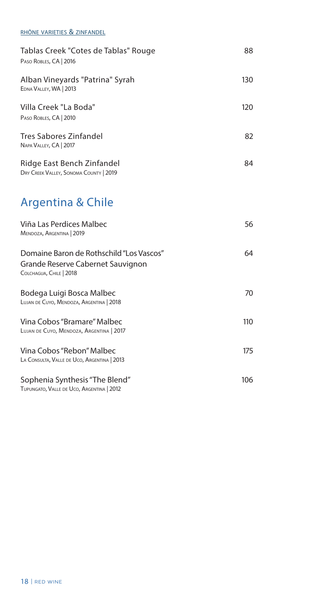#### rhône varieties & zinfandel

| Tablas Creek "Cotes de Tablas" Rouge<br>PASO ROBLES, CA   2016                                           | 88  |
|----------------------------------------------------------------------------------------------------------|-----|
| Alban Vineyards "Patrina" Syrah<br>EDNA VALLEY, WA   2013                                                | 130 |
| Villa Creek "La Boda"<br>PASO ROBLES, CA   2010                                                          | 120 |
| Tres Sabores Zinfandel<br>NAPA VALLEY, CA   2017                                                         | 82  |
| Ridge East Bench Zinfandel<br>DRY CREEK VALLEY, SONOMA COUNTY   2019                                     | 84  |
| Argentina & Chile                                                                                        |     |
| Viña Las Perdices Malbec<br>MENDOZA, ARGENTINA   2019                                                    | 56  |
| Domaine Baron de Rothschild "Los Vascos"<br>Grande Reserve Cabernet Sauvignon<br>COLCHAGUA, CHILE   2018 | 64  |
| Bodega Luigi Bosca Malbec<br>LUJAN DE CUYO, MENDOZA, ARGENTINA   2018                                    | 70  |
| Vina Cobos "Bramare" Malbec<br>LUJAN DE CUYO, MENDOZA, ARGENTINA   2017                                  | 110 |
| Vina Cobos "Rebon" Malbec<br>LA CONSULTA, VALLE DE UCO, ARGENTINA   2013                                 | 175 |
| Sophenia Synthesis "The Blend"<br>TUPUNGATO, VALLE DE UCO, ARGENTINA   2012                              | 106 |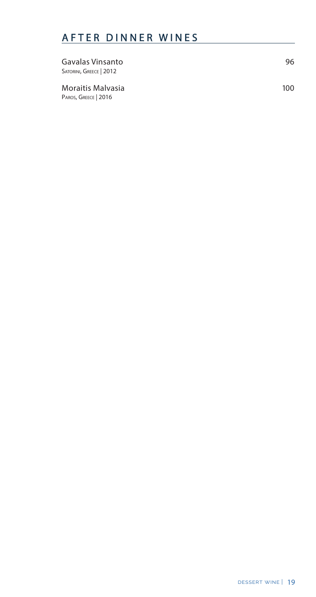## AFTER DINNER WINES

| Gavalas Vinsanto<br>SATORINI, GREECE   2012 | 96   |
|---------------------------------------------|------|
| Moraitis Malvasia<br>PAROS, GREECE   2016   | 100. |